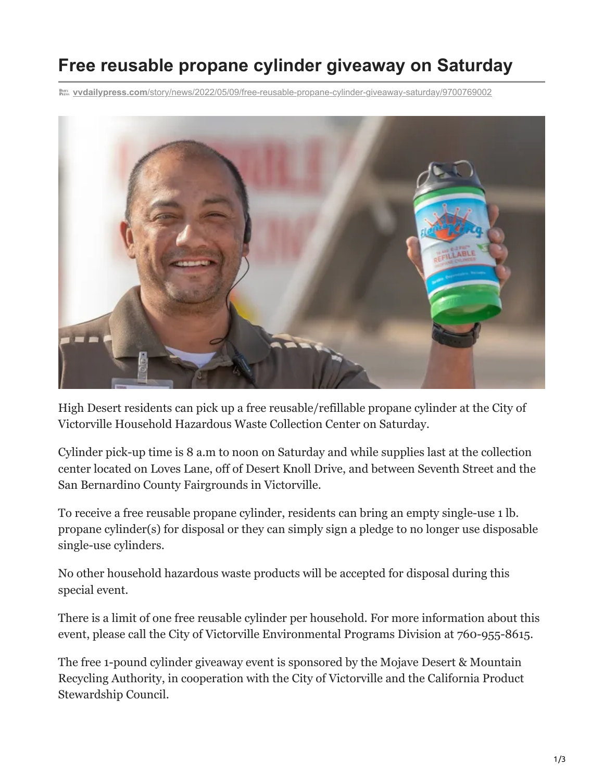## **Free reusable propane cylinder giveaway on Saturday**

**vvdailypress.com**[/story/news/2022/05/09/free-reusable-propane-cylinder-giveaway-saturday/9700769002](https://www.vvdailypress.com/story/news/2022/05/09/free-reusable-propane-cylinder-giveaway-saturday/9700769002/)



High Desert residents can pick up a free reusable/refillable propane cylinder at the City of Victorville Household Hazardous Waste Collection Center on Saturday.

Cylinder pick-up time is 8 a.m to noon on Saturday and while supplies last at the collection center located on Loves Lane, off of Desert Knoll Drive, and between Seventh Street and the San Bernardino County Fairgrounds in Victorville.

To receive a free reusable propane cylinder, residents can bring an empty single-use 1 lb. propane cylinder(s) for disposal or they can simply sign a pledge to no longer use disposable single-use cylinders.

No other household hazardous waste products will be accepted for disposal during this special event.

There is a limit of one free reusable cylinder per household. For more information about this event, please call the City of Victorville Environmental Programs Division at 760-955-8615.

The free 1-pound cylinder giveaway event is sponsored by the Mojave Desert & Mountain Recycling Authority, in cooperation with the City of Victorville and the California Product Stewardship Council.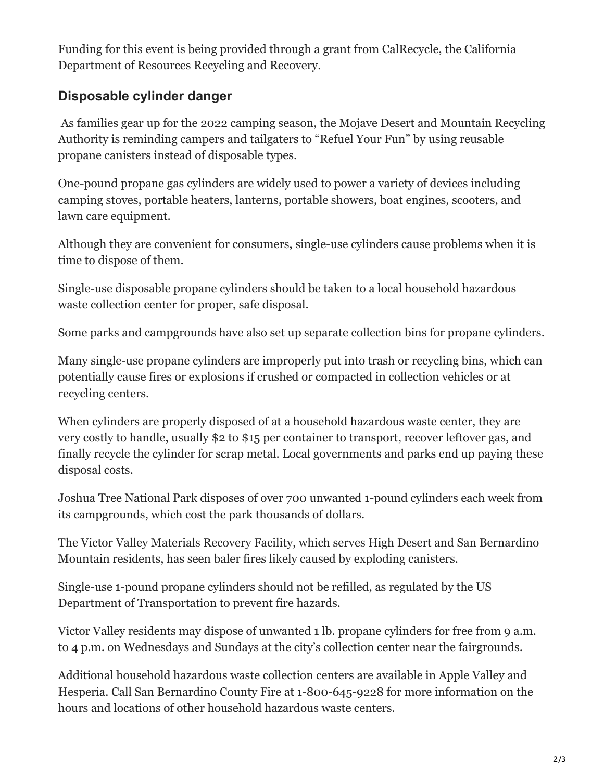Funding for this event is being provided through a grant from CalRecycle, the California Department of Resources Recycling and Recovery.

## **Disposable cylinder danger**

 As families gear up for the 2022 camping season, the Mojave Desert and Mountain Recycling Authority is reminding campers and tailgaters to "Refuel Your Fun" by using reusable propane canisters instead of disposable types.

One-pound propane gas cylinders are widely used to power a variety of devices including camping stoves, portable heaters, lanterns, portable showers, boat engines, scooters, and lawn care equipment.

Although they are convenient for consumers, single-use cylinders cause problems when it is time to dispose of them.

Single-use disposable propane cylinders should be taken to a local household hazardous waste collection center for proper, safe disposal.

Some parks and campgrounds have also set up separate collection bins for propane cylinders.

Many single-use propane cylinders are improperly put into trash or recycling bins, which can potentially cause fires or explosions if crushed or compacted in collection vehicles or at recycling centers.

When cylinders are properly disposed of at a household hazardous waste center, they are very costly to handle, usually \$2 to \$15 per container to transport, recover leftover gas, and finally recycle the cylinder for scrap metal. Local governments and parks end up paying these disposal costs.

Joshua Tree National Park disposes of over 700 unwanted 1-pound cylinders each week from its campgrounds, which cost the park thousands of dollars.

The Victor Valley Materials Recovery Facility, which serves High Desert and San Bernardino Mountain residents, has seen baler fires likely caused by exploding canisters.

Single-use 1-pound propane cylinders should not be refilled, as regulated by the US Department of Transportation to prevent fire hazards.

Victor Valley residents may dispose of unwanted 1 lb. propane cylinders for free from 9 a.m. to 4 p.m. on Wednesdays and Sundays at the city's collection center near the fairgrounds.

Additional household hazardous waste collection centers are available in Apple Valley and Hesperia. Call San Bernardino County Fire at 1-800-645-9228 for more information on the hours and locations of other household hazardous waste centers.